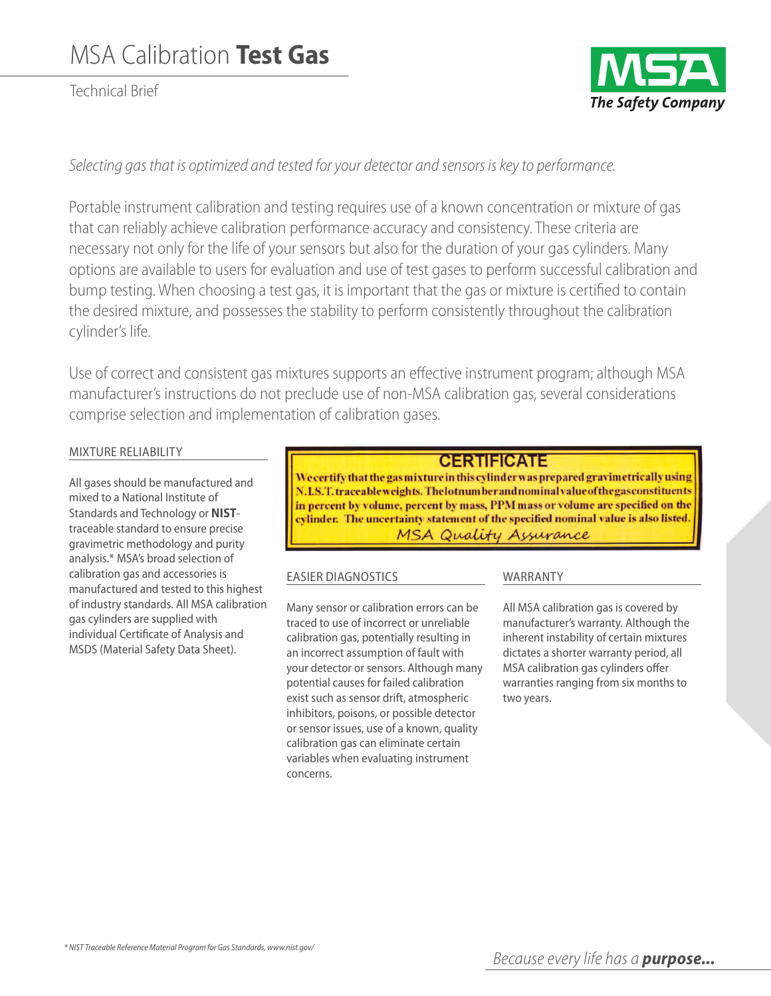Technical Brief



# *Selecting gas that is optimized and tested foryour detector and sensors iskeyto performance.*

Portable instrument calibration and testing requires use of a known concentration or mixture of gas that can reliably achieve calibration performance accuracy and consistency. These criteria are necessary not only for the life of your sensors but also for the duration of your gas cylinders. Many options are available to users for evaluation and use of test gases to perform successful calibration and bump testing. When choosing a test gas, it is important that the gas or mixture is certified to contain the desired mixture, and possesses the stability to perform consistently throughout the calibration cylinder's life.

Use of correct and consistent gas mixtures supports an effective instrument program; although MSA manufacturer's instructions do not preclude use of non-MSA calibration gas, several considerations comprise selection and implementation of calibration gases.

### MixturE rEliability

all gases should be manufactured and mixed to a National Institute of Standards and technology or **NIST**traceable standard to ensure precise gravimetric methodology and purity analysis.\* MSa's broad selection of calibration gas and accessories is manufactured and tested to this highest of industry standards. all MSa calibration gas cylinders are supplied with individual Certificate of Analysis and MSDS (Material Safety Data Sheet).

## **CERTIFICATE**

We certify that the gas mixture in this cylinder was prepared gravimetrically using N.I.S.T. traceableweights. The lotnum ber and nominal value of the gas constituents in percent by volume, percent by mass, PPM mass or volume are specified on the cylinder. The uncertainty statement of the specified nominal value is also listed. MSA Quality Assurance

### EaSiEr DiagnoSticS

Many sensor or calibration errors can be traced to use of incorrect or unreliable calibration gas, potentially resulting in an incorrect assumption of fault with your detector or sensors. Although many potential causes for failed calibration exist such as sensor drift, atmospheric inhibitors, poisons, or possible detector or sensor issues, use of a known, quality calibration gas can eliminate certain variables when evaluating instrument concerns.

## **WARRANTY**

All MSA calibration gas is covered by manufacturer's warranty. Although the inherent instability of certain mixtures dictates a shorter warranty period, all MSa calibration gas cylinders offer warranties ranging from six months to two years.